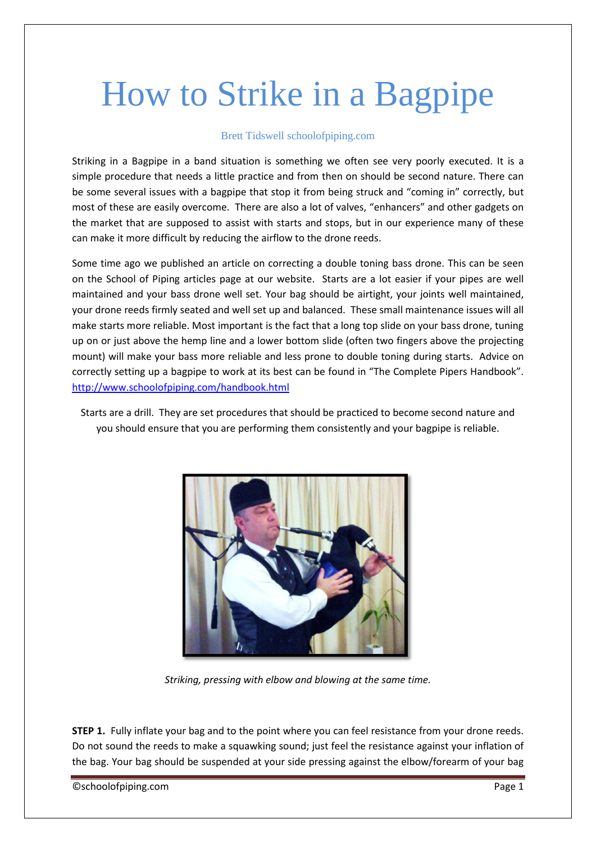## How to Strike in a Bagpipe

## Brett Tidswell schoolofpiping.com

Striking in a Bagpipe in a band situation is something we often see very poorly executed. It is a simple procedure that needs a little practice and from then on should be second nature. There can be some several issues with a bagpipe that stop it from being struck and "coming in" correctly, but most of these are easily overcome. There are also a lot of valves, "enhancers" and other gadgets on the market that are supposed to assist with starts and stops, but in our experience many of these can make it more difficult by reducing the airflow to the drone reeds.

Some time ago we published an article on correcting a double toning bass drone. This can be seen on the School of Piping articles page at our website. Starts are a lot easier if your pipes are well maintained and your bass drone well set. Your bag should be airtight, your joints well maintained, your drone reeds firmly seated and well set up and balanced. These small maintenance issues will all make starts more reliable. Most important is the fact that a long top slide on your bass drone, tuning up on or just above the hemp line and a lower bottom slide (often two fingers above the projecting mount) will make your bass more reliable and less prone to double toning during starts. Advice on correctly setting up a bagpipe to work at its best can be found in "The Complete Pipers Handbook". <http://www.schoolofpiping.com/handbook.html>

Starts are a drill. They are set procedures that should be practiced to become second nature and you should ensure that you are performing them consistently and your bagpipe is reliable.



*Striking, pressing with elbow and blowing at the same time.*

**STEP 1.** Fully inflate your bag and to the point where you can feel resistance from your drone reeds. Do not sound the reeds to make a squawking sound; just feel the resistance against your inflation of the bag. Your bag should be suspended at your side pressing against the elbow/forearm of your bag

©schoolofpiping.com Page 1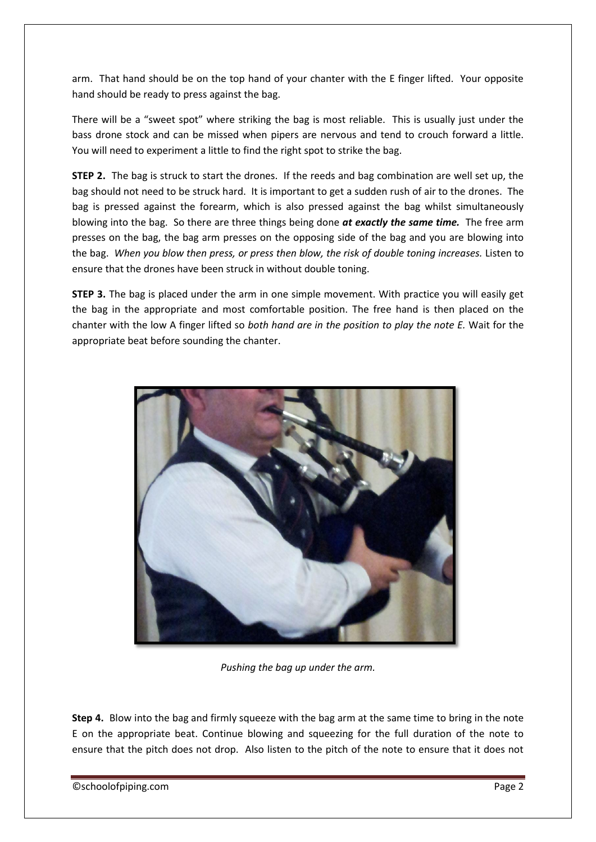arm. That hand should be on the top hand of your chanter with the E finger lifted. Your opposite hand should be ready to press against the bag.

There will be a "sweet spot" where striking the bag is most reliable. This is usually just under the bass drone stock and can be missed when pipers are nervous and tend to crouch forward a little. You will need to experiment a little to find the right spot to strike the bag.

**STEP 2.** The bag is struck to start the drones. If the reeds and bag combination are well set up, the bag should not need to be struck hard. It is important to get a sudden rush of air to the drones. The bag is pressed against the forearm, which is also pressed against the bag whilst simultaneously blowing into the bag. So there are three things being done *at exactly the same time.* The free arm presses on the bag, the bag arm presses on the opposing side of the bag and you are blowing into the bag. *When you blow then press, or press then blow, the risk of double toning increases.* Listen to ensure that the drones have been struck in without double toning.

**STEP 3.** The bag is placed under the arm in one simple movement. With practice you will easily get the bag in the appropriate and most comfortable position. The free hand is then placed on the chanter with the low A finger lifted so *both hand are in the position to play the note E.* Wait for the appropriate beat before sounding the chanter.



*Pushing the bag up under the arm.*

**Step 4.** Blow into the bag and firmly squeeze with the bag arm at the same time to bring in the note E on the appropriate beat. Continue blowing and squeezing for the full duration of the note to ensure that the pitch does not drop. Also listen to the pitch of the note to ensure that it does not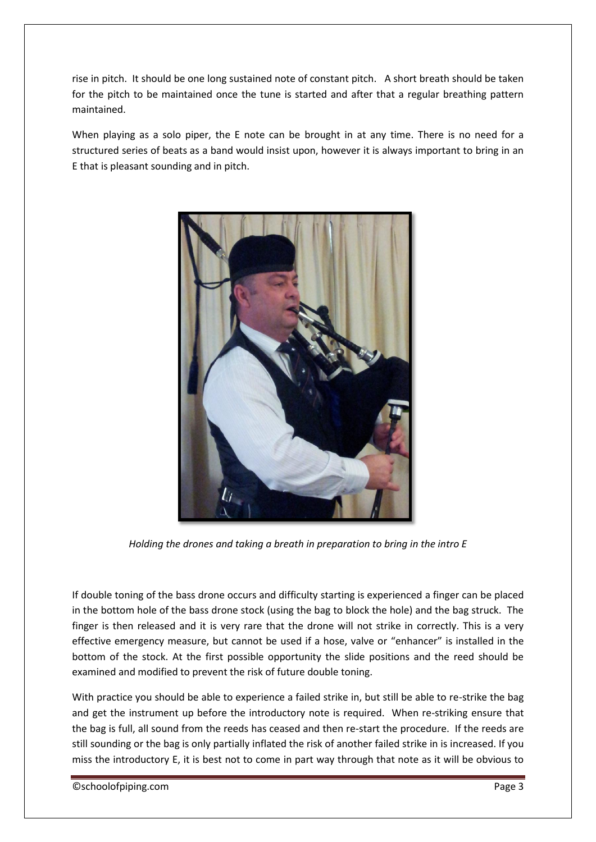rise in pitch. It should be one long sustained note of constant pitch. A short breath should be taken for the pitch to be maintained once the tune is started and after that a regular breathing pattern maintained.

When playing as a solo piper, the E note can be brought in at any time. There is no need for a structured series of beats as a band would insist upon, however it is always important to bring in an E that is pleasant sounding and in pitch.



*Holding the drones and taking a breath in preparation to bring in the intro E*

If double toning of the bass drone occurs and difficulty starting is experienced a finger can be placed in the bottom hole of the bass drone stock (using the bag to block the hole) and the bag struck. The finger is then released and it is very rare that the drone will not strike in correctly. This is a very effective emergency measure, but cannot be used if a hose, valve or "enhancer" is installed in the bottom of the stock. At the first possible opportunity the slide positions and the reed should be examined and modified to prevent the risk of future double toning.

With practice you should be able to experience a failed strike in, but still be able to re-strike the bag and get the instrument up before the introductory note is required. When re-striking ensure that the bag is full, all sound from the reeds has ceased and then re-start the procedure. If the reeds are still sounding or the bag is only partially inflated the risk of another failed strike in is increased. If you miss the introductory E, it is best not to come in part way through that note as it will be obvious to

©schoolofpiping.com Page 3